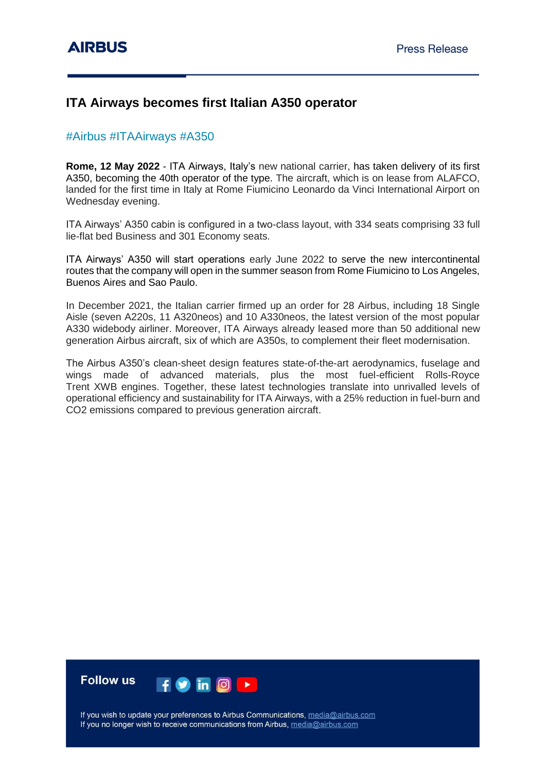# **ITA Airways becomes first Italian A350 operator**

# #Airbus #ITAAirways #A350

**Rome, 12 May 2022** - ITA Airways, Italy's new national carrier, has taken delivery of its first A350, becoming the 40th operator of the type. The aircraft, which is on lease from ALAFCO, landed for the first time in Italy at Rome Fiumicino Leonardo da Vinci International Airport on Wednesday evening.

ITA Airways' A350 cabin is configured in a two-class layout, with 334 seats comprising 33 full lie-flat bed Business and 301 Economy seats.

ITA Airways' A350 will start operations early June 2022 to serve the new intercontinental routes that the company will open in the summer season from Rome Fiumicino to Los Angeles, Buenos Aires and Sao Paulo.

In December 2021, the Italian carrier firmed up an order for 28 Airbus, including 18 Single Aisle (seven A220s, 11 A320neos) and 10 A330neos, the latest version of the most popular A330 widebody airliner. Moreover, ITA Airways already leased more than 50 additional new generation Airbus aircraft, six of which are A350s, to complement their fleet modernisation.

The Airbus A350's clean-sheet design features state-of-the-art aerodynamics, fuselage and wings made of advanced materials, plus the most fuel-efficient Rolls-Royce Trent XWB engines. Together, these latest technologies translate into unrivalled levels of operational efficiency and sustainability for ITA Airways, with a 25% reduction in fuel-burn and CO2 emissions compared to previous generation aircraft.



If you wish to update your preferences to Airbus Communications, media@airbus.com If you no longer wish to receive communications from Airbus, media@airbus.com